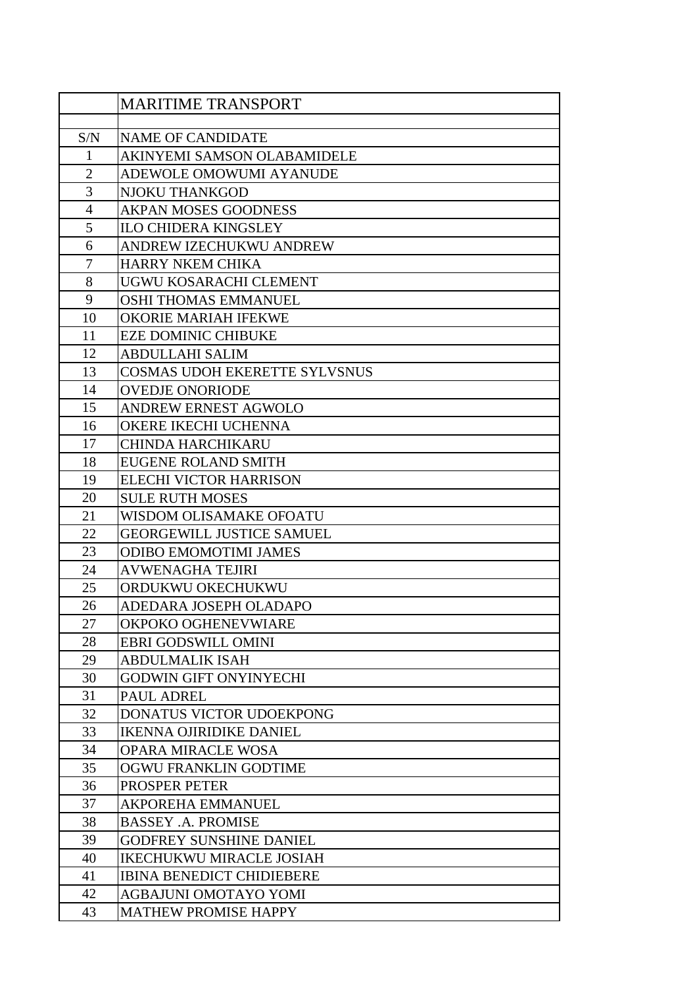|                | <b>MARITIME TRANSPORT</b>              |
|----------------|----------------------------------------|
|                |                                        |
| S/N            | <b>NAME OF CANDIDATE</b>               |
| $\mathbf{1}$   | AKINYEMI SAMSON OLABAMIDELE            |
| $\overline{2}$ | ADEWOLE OMOWUMI AYANUDE                |
| 3              | <b>NJOKU THANKGOD</b>                  |
| $\overline{4}$ | <b>AKPAN MOSES GOODNESS</b>            |
| 5              | <b>ILO CHIDERA KINGSLEY</b>            |
| 6              | ANDREW IZECHUKWU ANDREW                |
| 7              | <b>HARRY NKEM CHIKA</b>                |
| 8              | UGWU KOSARACHI CLEMENT                 |
| 9              | OSHI THOMAS EMMANUEL                   |
| 10             | <b>OKORIE MARIAH IFEKWE</b>            |
| 11             | <b>EZE DOMINIC CHIBUKE</b>             |
| 12             | <b>ABDULLAHI SALIM</b>                 |
| 13             | <b>COSMAS UDOH EKERETTE SYLVSNUS</b>   |
| 14             | <b>OVEDJE ONORIODE</b>                 |
| 15             | <b>ANDREW ERNEST AGWOLO</b>            |
| 16             | OKERE IKECHI UCHENNA                   |
| 17             | <b>CHINDA HARCHIKARU</b>               |
| 18             | <b>EUGENE ROLAND SMITH</b>             |
| 19             | <b>ELECHI VICTOR HARRISON</b>          |
| 20             | <b>SULE RUTH MOSES</b>                 |
| 21             | WISDOM OLISAMAKE OFOATU                |
| 22             | <b>GEORGEWILL JUSTICE SAMUEL</b>       |
| 23             | <b>ODIBO EMOMOTIMI JAMES</b>           |
| 24             | <b>AVWENAGHA TEJIRI</b>                |
| 25             | ORDUKWU OKECHUKWU                      |
| 26             | ADEDARA JOSEPH OLADAPO                 |
| 27             | OKPOKO OGHENEVWIARE                    |
| 28             | <b>EBRI GODSWILL OMINI</b>             |
| 29             | <b>ABDULMALIK ISAH</b>                 |
| 30<br>31       | <b>GODWIN GIFT ONYINYECHI</b>          |
| 32             | PAUL ADREL<br>DONATUS VICTOR UDOEKPONG |
| 33             | <b>IKENNA OJIRIDIKE DANIEL</b>         |
| 34             | <b>OPARA MIRACLE WOSA</b>              |
| 35             | OGWU FRANKLIN GODTIME                  |
| 36             | PROSPER PETER                          |
| 37             | <b>AKPOREHA EMMANUEL</b>               |
| 38             | <b>BASSEY .A. PROMISE</b>              |
| 39             | <b>GODFREY SUNSHINE DANIEL</b>         |
| 40             | <b>IKECHUKWU MIRACLE JOSIAH</b>        |
| 41             | <b>IBINA BENEDICT CHIDIEBERE</b>       |
| 42             | AGBAJUNI OMOTAYO YOMI                  |
| 43             | <b>MATHEW PROMISE HAPPY</b>            |
|                |                                        |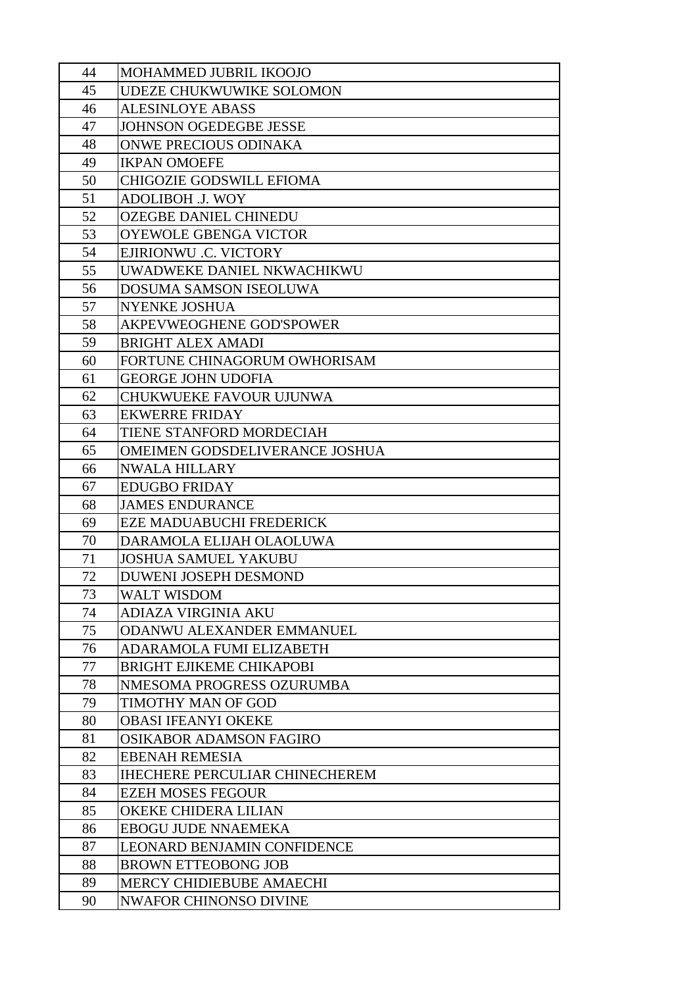| 44       | MOHAMMED JUBRIL IKOOJO                                         |
|----------|----------------------------------------------------------------|
| 45       | UDEZE CHUKWUWIKE SOLOMON                                       |
| 46       | <b>ALESINLOYE ABASS</b>                                        |
| 47       | <b>JOHNSON OGEDEGBE JESSE</b>                                  |
| 48       | ONWE PRECIOUS ODINAKA                                          |
| 49       | <b>IKPAN OMOEFE</b>                                            |
| 50       | <b>CHIGOZIE GODSWILL EFIOMA</b>                                |
| 51       | <b>ADOLIBOH .J. WOY</b>                                        |
| 52       | <b>OZEGBE DANIEL CHINEDU</b>                                   |
| 53       | <b>OYEWOLE GBENGA VICTOR</b>                                   |
| 54       | EJIRIONWU .C. VICTORY                                          |
| 55       | UWADWEKE DANIEL NKWACHIKWU                                     |
| 56       | DOSUMA SAMSON ISEOLUWA                                         |
| 57       | <b>NYENKE JOSHUA</b>                                           |
| 58       | AKPEVWEOGHENE GOD'SPOWER                                       |
| 59       | <b>BRIGHT ALEX AMADI</b>                                       |
| 60       | FORTUNE CHINAGORUM OWHORISAM                                   |
| 61       | <b>GEORGE JOHN UDOFIA</b>                                      |
| 62       | <b>CHUKWUEKE FAVOUR UJUNWA</b>                                 |
| 63       | <b>EKWERRE FRIDAY</b>                                          |
| 64       | TIENE STANFORD MORDECIAH                                       |
| 65       | OMEIMEN GODSDELIVERANCE JOSHUA                                 |
| 66       | <b>NWALA HILLARY</b>                                           |
| 67       | <b>EDUGBO FRIDAY</b>                                           |
| 68       | <b>JAMES ENDURANCE</b>                                         |
| 69       | <b>EZE MADUABUCHI FREDERICK</b>                                |
| 70       | DARAMOLA ELIJAH OLAOLUWA                                       |
| 71       | <b>JOSHUA SAMUEL YAKUBU</b>                                    |
| 72       | <b>DUWENI JOSEPH DESMOND</b>                                   |
| 73       | WALT WISDOM                                                    |
| 74       | <b>ADIAZA VIRGINIA AKU</b>                                     |
| 75       | ODANWU ALEXANDER EMMANUEL                                      |
| 76       | <b>ADARAMOLA FUMI ELIZABETH</b>                                |
| 77       | <b>BRIGHT EJIKEME CHIKAPOBI</b>                                |
| 78       | NMESOMA PROGRESS OZURUMBA                                      |
| 79       | TIMOTHY MAN OF GOD                                             |
| 80       | <b>OBASI IFEANYI OKEKE</b>                                     |
| 81       | <b>OSIKABOR ADAMSON FAGIRO</b>                                 |
| 82<br>83 | <b>EBENAH REMESIA</b><br><b>IHECHERE PERCULIAR CHINECHEREM</b> |
| 84       | <b>EZEH MOSES FEGOUR</b>                                       |
| 85       | OKEKE CHIDERA LILIAN                                           |
| 86       | <b>EBOGU JUDE NNAEMEKA</b>                                     |
| 87       | <b>LEONARD BENJAMIN CONFIDENCE</b>                             |
| 88       | <b>BROWN ETTEOBONG JOB</b>                                     |
| 89       | MERCY CHIDIEBUBE AMAECHI                                       |
| 90       | <b>NWAFOR CHINONSO DIVINE</b>                                  |
|          |                                                                |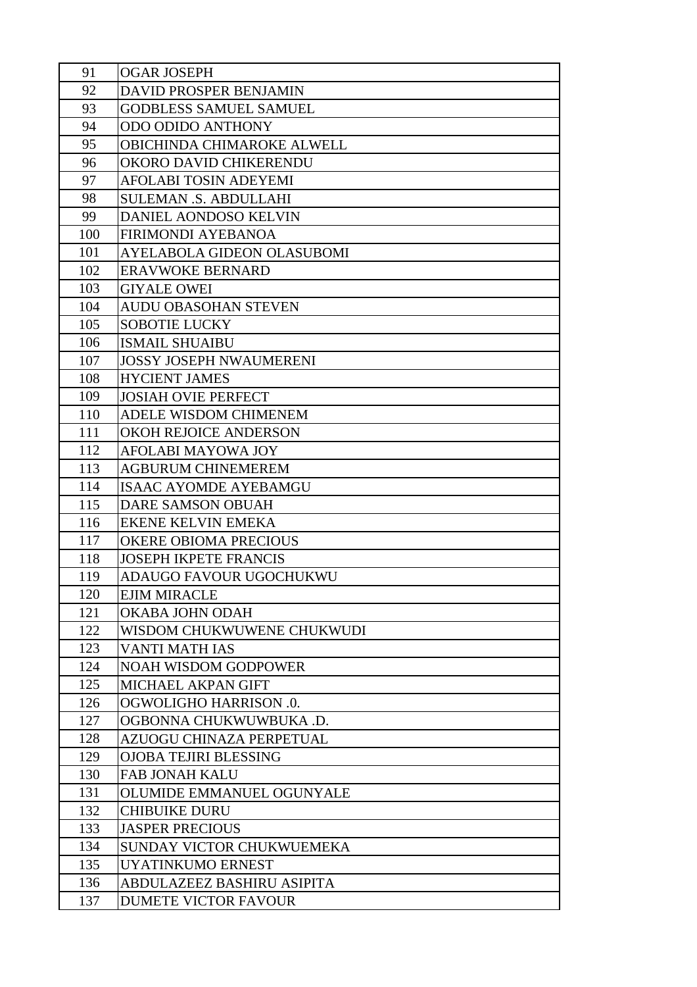| 91         | <b>OGAR JOSEPH</b>                                    |
|------------|-------------------------------------------------------|
| 92         | DAVID PROSPER BENJAMIN                                |
| 93         | <b>GODBLESS SAMUEL SAMUEL</b>                         |
| 94         | <b>ODO ODIDO ANTHONY</b>                              |
| 95         | <b>OBICHINDA CHIMAROKE ALWELL</b>                     |
| 96         | OKORO DAVID CHIKERENDU                                |
| 97         | AFOLABI TOSIN ADEYEMI                                 |
| 98         | <b>SULEMAN .S. ABDULLAHI</b>                          |
| 99         | DANIEL AONDOSO KELVIN                                 |
| 100        | <b>FIRIMONDI AYEBANOA</b>                             |
| 101        | AYELABOLA GIDEON OLASUBOMI                            |
| 102        | <b>ERAVWOKE BERNARD</b>                               |
| 103        | <b>GIYALE OWEI</b>                                    |
| 104        | <b>AUDU OBASOHAN STEVEN</b>                           |
| 105        | <b>SOBOTIE LUCKY</b>                                  |
| 106        | <b>ISMAIL SHUAIBU</b>                                 |
| 107        | <b>JOSSY JOSEPH NWAUMERENI</b>                        |
| 108        | <b>HYCIENT JAMES</b>                                  |
| 109        | <b>JOSIAH OVIE PERFECT</b>                            |
| 110        | ADELE WISDOM CHIMENEM                                 |
| 111        | <b>OKOH REJOICE ANDERSON</b>                          |
| 112        | AFOLABI MAYOWA JOY                                    |
| 113        | <b>AGBURUM CHINEMEREM</b>                             |
| 114        | <b>ISAAC AYOMDE AYEBAMGU</b>                          |
| 115        | <b>DARE SAMSON OBUAH</b>                              |
| 116        | <b>EKENE KELVIN EMEKA</b>                             |
| 117        | <b>OKERE OBIOMA PRECIOUS</b>                          |
| 118        | <b>JOSEPH IKPETE FRANCIS</b>                          |
| 119        | ADAUGO FAVOUR UGOCHUKWU                               |
| 120        | <b>EJIM MIRACLE</b>                                   |
| 121        | OKABA JOHN ODAH                                       |
| 122        | WISDOM CHUKWUWENE CHUKWUDI                            |
| 123        | <b>VANTI MATH IAS</b>                                 |
| 124        | <b>NOAH WISDOM GODPOWER</b>                           |
| 125        | MICHAEL AKPAN GIFT                                    |
| 126        | <b>OGWOLIGHO HARRISON .0.</b>                         |
| 127        | OGBONNA CHUKWUWBUKA .D.                               |
| 128        | AZUOGU CHINAZA PERPETUAL                              |
| 129        | <b>OJOBA TEJIRI BLESSING</b>                          |
| 130        | <b>FAB JONAH KALU</b>                                 |
| 131        | OLUMIDE EMMANUEL OGUNYALE                             |
| 132        | <b>CHIBUIKE DURU</b>                                  |
| 133        | <b>JASPER PRECIOUS</b>                                |
| 134<br>135 | SUNDAY VICTOR CHUKWUEMEKA<br><b>UYATINKUMO ERNEST</b> |
|            |                                                       |
| 136        | ABDULAZEEZ BASHIRU ASIPITA                            |
| 137        | <b>DUMETE VICTOR FAVOUR</b>                           |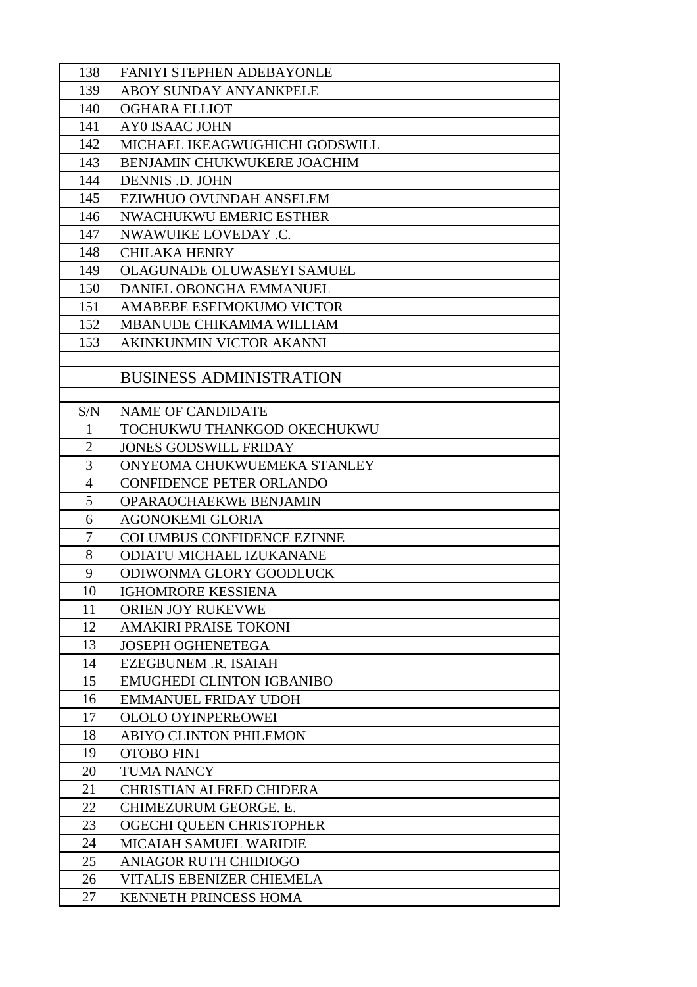| 138            | <b>FANIYI STEPHEN ADEBAYONLE</b>  |
|----------------|-----------------------------------|
| 139            | ABOY SUNDAY ANYANKPELE            |
| 140            | <b>OGHARA ELLIOT</b>              |
| 141            | <b>AY0 ISAAC JOHN</b>             |
| 142            | MICHAEL IKEAGWUGHICHI GODSWILL    |
| 143            | BENJAMIN CHUKWUKERE JOACHIM       |
| 144            | <b>DENNIS .D. JOHN</b>            |
| 145            | EZIWHUO OVUNDAH ANSELEM           |
| 146            | <b>NWACHUKWU EMERIC ESTHER</b>    |
| 147            | NWAWUIKE LOVEDAY .C.              |
| 148            | <b>CHILAKA HENRY</b>              |
| 149            | <b>OLAGUNADE OLUWASEYI SAMUEL</b> |
| 150            | DANIEL OBONGHA EMMANUEL           |
| 151            | AMABEBE ESEIMOKUMO VICTOR         |
| 152            | MBANUDE CHIKAMMA WILLIAM          |
| 153            | AKINKUNMIN VICTOR AKANNI          |
|                |                                   |
|                | <b>BUSINESS ADMINISTRATION</b>    |
| S/N            | <b>NAME OF CANDIDATE</b>          |
| $\mathbf{1}$   | TOCHUKWU THANKGOD OKECHUKWU       |
| $\overline{2}$ | <b>JONES GODSWILL FRIDAY</b>      |
| 3              | ONYEOMA CHUKWUEMEKA STANLEY       |
| $\overline{4}$ | <b>CONFIDENCE PETER ORLANDO</b>   |
| 5              | OPARAOCHAEKWE BENJAMIN            |
| 6              | <b>AGONOKEMI GLORIA</b>           |
| 7              | <b>COLUMBUS CONFIDENCE EZINNE</b> |
| 8              | ODIATU MICHAEL IZUKANANE          |
| 9              | ODIWONMA GLORY GOODLUCK           |
| 10             | IGHOMRORE KESSIENA                |
| 11             | ORIEN JOY RUKEVWE                 |
| 12             | AMAKIRI PRAISE TOKONI             |
| 13             | <b>JOSEPH OGHENETEGA</b>          |
| 14             | <b>EZEGBUNEM .R. ISAIAH</b>       |
| 15             | <b>EMUGHEDI CLINTON IGBANIBO</b>  |
| 16             | <b>EMMANUEL FRIDAY UDOH</b>       |
| 17             | <b>OLOLO OYINPEREOWEI</b>         |
| 18             | ABIYO CLINTON PHILEMON            |
| 19             | <b>OTOBO FINI</b>                 |
| 20             | <b>TUMA NANCY</b>                 |
| 21             | <b>CHRISTIAN ALFRED CHIDERA</b>   |
| 22             | CHIMEZURUM GEORGE. E.             |
| 23             | OGECHI QUEEN CHRISTOPHER          |
| 24             | <b>MICAIAH SAMUEL WARIDIE</b>     |
| 25             | <b>ANIAGOR RUTH CHIDIOGO</b>      |
| 26             | VITALIS EBENIZER CHIEMELA         |
| 27             | KENNETH PRINCESS HOMA             |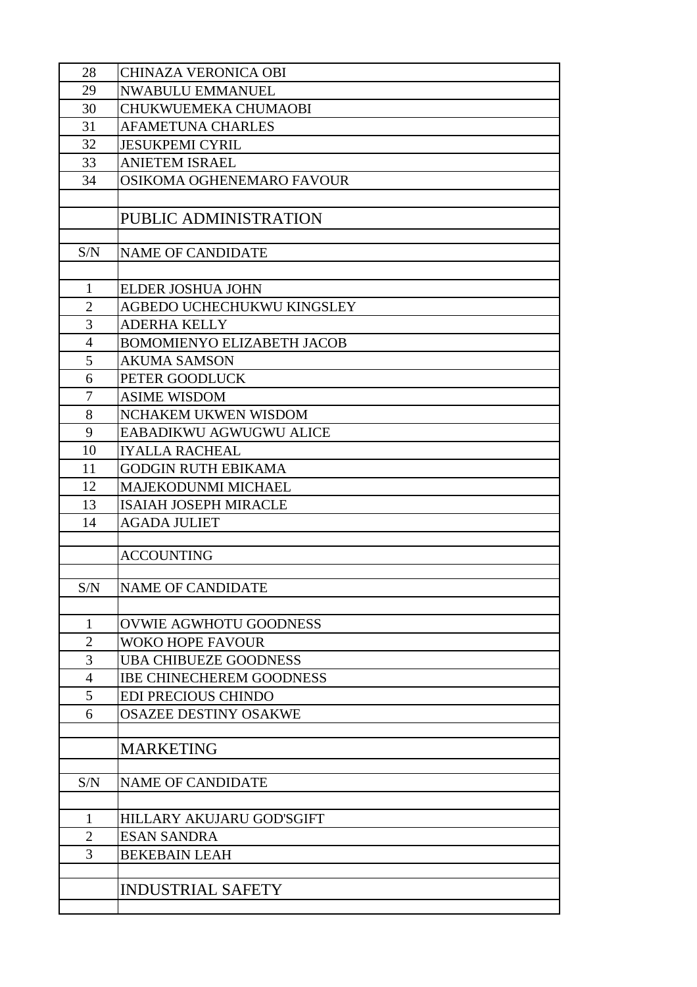| 28             | <b>CHINAZA VERONICA OBI</b>       |
|----------------|-----------------------------------|
| 29             | <b>NWABULU EMMANUEL</b>           |
| 30             | CHUKWUEMEKA CHUMAOBI              |
| 31             | <b>AFAMETUNA CHARLES</b>          |
| 32             | <b>JESUKPEMI CYRIL</b>            |
| 33             | <b>ANIETEM ISRAEL</b>             |
| 34             | OSIKOMA OGHENEMARO FAVOUR         |
|                |                                   |
|                | PUBLIC ADMINISTRATION             |
|                |                                   |
| S/N            | <b>NAME OF CANDIDATE</b>          |
|                |                                   |
| 1              | <b>ELDER JOSHUA JOHN</b>          |
| $\overline{2}$ | AGBEDO UCHECHUKWU KINGSLEY        |
| 3              | <b>ADERHA KELLY</b>               |
| $\overline{4}$ | <b>BOMOMIENYO ELIZABETH JACOB</b> |
| 5              | <b>AKUMA SAMSON</b>               |
| 6              | PETER GOODLUCK                    |
| 7              | <b>ASIME WISDOM</b>               |
| 8              | NCHAKEM UKWEN WISDOM              |
| 9              | EABADIKWU AGWUGWU ALICE           |
| 10             | <b>IYALLA RACHEAL</b>             |
| 11             | <b>GODGIN RUTH EBIKAMA</b>        |
| 12             | <b>MAJEKODUNMI MICHAEL</b>        |
| 13             | <b>ISAIAH JOSEPH MIRACLE</b>      |
| 14             | <b>AGADA JULIET</b>               |
|                |                                   |
|                | <b>ACCOUNTING</b>                 |
|                |                                   |
| S/N            | <b>NAME OF CANDIDATE</b>          |
|                |                                   |
| $\mathbf{1}$   | OVWIE AGWHOTU GOODNESS            |
| $\overline{2}$ | <b>WOKO HOPE FAVOUR</b>           |
| 3              | <b>UBA CHIBUEZE GOODNESS</b>      |
| $\overline{4}$ | <b>IBE CHINECHEREM GOODNESS</b>   |
| 5              | EDI PRECIOUS CHINDO               |
| 6              | <b>OSAZEE DESTINY OSAKWE</b>      |
|                |                                   |
|                | <b>MARKETING</b>                  |
| S/N            | <b>NAME OF CANDIDATE</b>          |
|                |                                   |
| 1              | <b>HILLARY AKUJARU GOD'SGIFT</b>  |
| $\overline{2}$ | <b>ESAN SANDRA</b>                |
| 3              | <b>BEKEBAIN LEAH</b>              |
|                |                                   |
|                | <b>INDUSTRIAL SAFETY</b>          |
|                |                                   |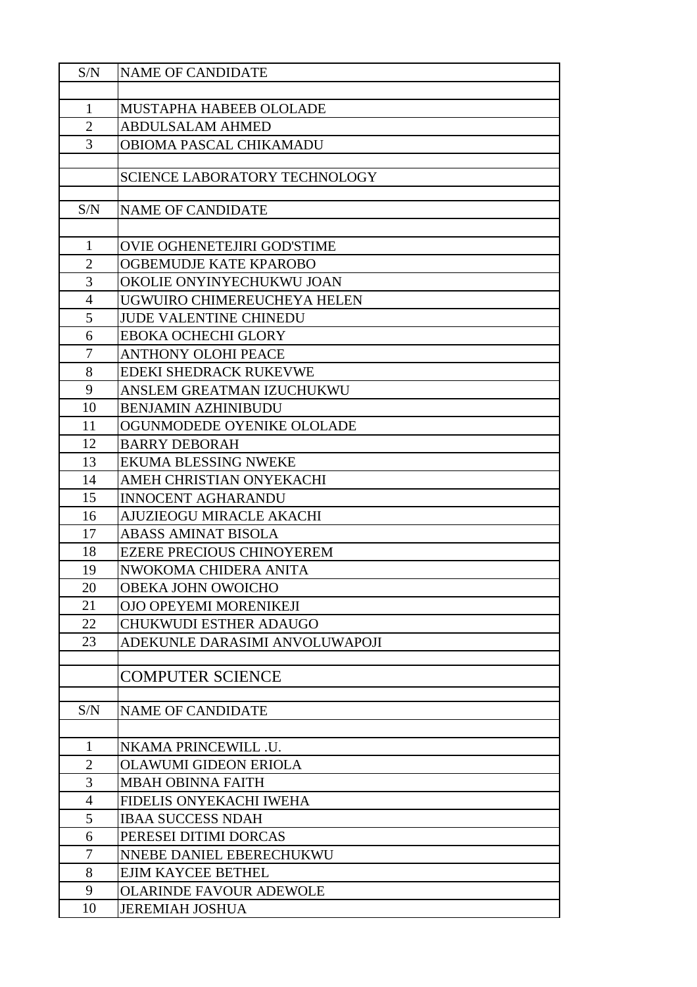| S/N            | <b>NAME OF CANDIDATE</b>             |
|----------------|--------------------------------------|
|                |                                      |
| 1              | MUSTAPHA HABEEB OLOLADE              |
| $\overline{2}$ | <b>ABDULSALAM AHMED</b>              |
| 3              | <b>OBIOMA PASCAL CHIKAMADU</b>       |
|                |                                      |
|                | <b>SCIENCE LABORATORY TECHNOLOGY</b> |
|                |                                      |
| S/N            | <b>NAME OF CANDIDATE</b>             |
|                |                                      |
| $\mathbf{1}$   | <b>OVIE OGHENETEJIRI GOD'STIME</b>   |
| $\overline{2}$ | OGBEMUDJE KATE KPAROBO               |
| 3              | OKOLIE ONYINYECHUKWU JOAN            |
| $\overline{4}$ | UGWUIRO CHIMEREUCHEYA HELEN          |
| 5              | <b>JUDE VALENTINE CHINEDU</b>        |
| 6              | <b>EBOKA OCHECHI GLORY</b>           |
| $\overline{7}$ | <b>ANTHONY OLOHI PEACE</b>           |
| 8              | EDEKI SHEDRACK RUKEVWE               |
| 9              | ANSLEM GREATMAN IZUCHUKWU            |
| 10             | <b>BENJAMIN AZHINIBUDU</b>           |
| 11             | OGUNMODEDE OYENIKE OLOLADE           |
| 12             | <b>BARRY DEBORAH</b>                 |
| 13             | <b>EKUMA BLESSING NWEKE</b>          |
| 14             | AMEH CHRISTIAN ONYEKACHI             |
| 15             | <b>INNOCENT AGHARANDU</b>            |
| 16             | AJUZIEOGU MIRACLE AKACHI             |
| 17             | <b>ABASS AMINAT BISOLA</b>           |
| 18             | <b>EZERE PRECIOUS CHINOYEREM</b>     |
| 19             | NWOKOMA CHIDERA ANITA                |
| 20             | OBEKA JOHN OWOICHO                   |
| 21             | OJO OPEYEMI MORENIKEJI               |
| 22             | CHUKWUDI ESTHER ADAUGO               |
| 23             | ADEKUNLE DARASIMI ANVOLUWAPOJI       |
|                |                                      |
|                | <b>COMPUTER SCIENCE</b>              |
|                |                                      |
| S/N            | <b>NAME OF CANDIDATE</b>             |
|                |                                      |
| $\mathbf{1}$   | NKAMA PRINCEWILL .U.                 |
| $\overline{2}$ | <b>OLAWUMI GIDEON ERIOLA</b>         |
| 3              | <b>MBAH OBINNA FAITH</b>             |
| $\overline{4}$ | FIDELIS ONYEKACHI IWEHA              |
| 5              | <b>IBAA SUCCESS NDAH</b>             |
| 6              | PERESEI DITIMI DORCAS                |
| 7              | NNEBE DANIEL EBERECHUKWU             |
| 8              | <b>EJIM KAYCEE BETHEL</b>            |
| 9              | <b>OLARINDE FAVOUR ADEWOLE</b>       |
| 10             | <b>JEREMIAH JOSHUA</b>               |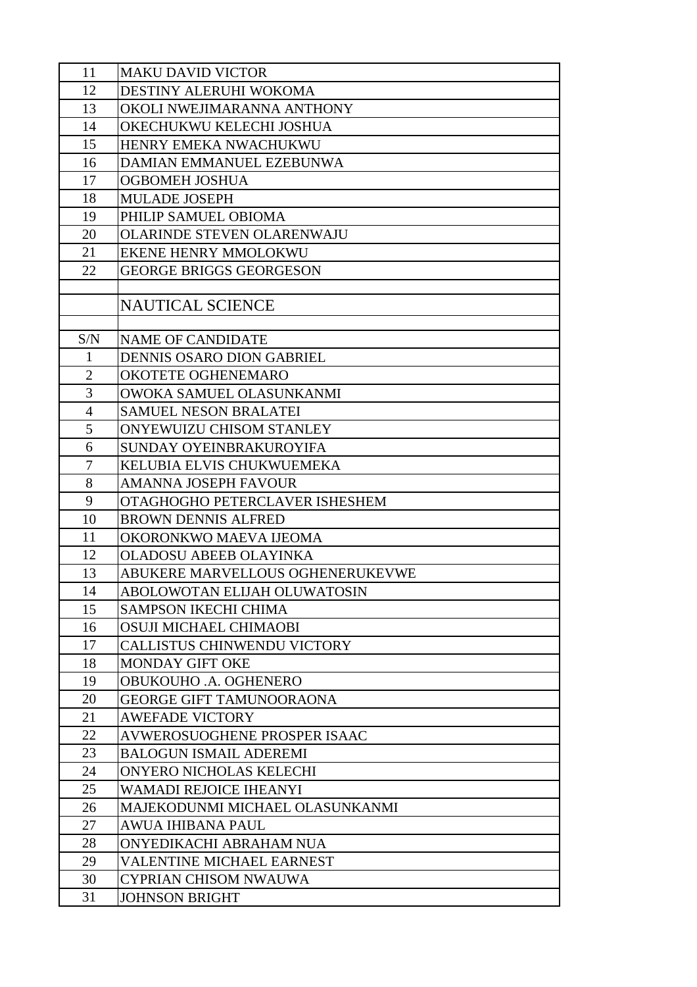| 11             | <b>MAKU DAVID VICTOR</b>                                         |
|----------------|------------------------------------------------------------------|
| 12             | DESTINY ALERUHI WOKOMA                                           |
| 13             | OKOLI NWEJIMARANNA ANTHONY                                       |
| 14             | OKECHUKWU KELECHI JOSHUA                                         |
| 15             | HENRY EMEKA NWACHUKWU                                            |
| 16             | DAMIAN EMMANUEL EZEBUNWA                                         |
| 17             | OGBOMEH JOSHUA                                                   |
| 18             | <b>MULADE JOSEPH</b>                                             |
| 19             | PHILIP SAMUEL OBIOMA                                             |
| 20             | <b>OLARINDE STEVEN OLARENWAJU</b>                                |
| 21             | <b>EKENE HENRY MMOLOKWU</b>                                      |
| 22             | <b>GEORGE BRIGGS GEORGESON</b>                                   |
|                |                                                                  |
|                | <b>NAUTICAL SCIENCE</b>                                          |
|                |                                                                  |
| S/N            | <b>NAME OF CANDIDATE</b>                                         |
| $\mathbf{1}$   | DENNIS OSARO DION GABRIEL                                        |
| $\overline{2}$ | <b>OKOTETE OGHENEMARO</b>                                        |
| 3              | OWOKA SAMUEL OLASUNKANMI                                         |
| $\overline{4}$ | <b>SAMUEL NESON BRALATEI</b>                                     |
| 5              | ONYEWUIZU CHISOM STANLEY                                         |
| 6              | SUNDAY OYEINBRAKUROYIFA                                          |
| 7              | KELUBIA ELVIS CHUKWUEMEKA                                        |
| 8              | <b>AMANNA JOSEPH FAVOUR</b>                                      |
| 9              | OTAGHOGHO PETERCLAVER ISHESHEM                                   |
| 10             | <b>BROWN DENNIS ALFRED</b>                                       |
| 11             | OKORONKWO MAEVA IJEOMA                                           |
| 12             | <b>OLADOSU ABEEB OLAYINKA</b>                                    |
| 13<br>14       | ABUKERE MARVELLOUS OGHENERUKEVWE<br>ABOLOWOTAN ELIJAH OLUWATOSIN |
| 15             | <b>SAMPSON IKECHI CHIMA</b>                                      |
| 16             | OSUJI MICHAEL CHIMAOBI                                           |
| 17             | <b>CALLISTUS CHINWENDU VICTORY</b>                               |
| 18             | MONDAY GIFT OKE                                                  |
| 19             | OBUKOUHO .A. OGHENERO                                            |
| 20             | <b>GEORGE GIFT TAMUNOORAONA</b>                                  |
| 21             | <b>AWEFADE VICTORY</b>                                           |
| 22             | AVWEROSUOGHENE PROSPER ISAAC                                     |
| 23             | <b>BALOGUN ISMAIL ADEREMI</b>                                    |
| 24             | ONYERO NICHOLAS KELECHI                                          |
| 25             | <b>WAMADI REJOICE IHEANYI</b>                                    |
| 26             | MAJEKODUNMI MICHAEL OLASUNKANMI                                  |
| 27             | <b>AWUA IHIBANA PAUL</b>                                         |
| 28             | ONYEDIKACHI ABRAHAM NUA                                          |
| 29             | <b>VALENTINE MICHAEL EARNEST</b>                                 |
| 30             | <b>CYPRIAN CHISOM NWAUWA</b>                                     |
| 31             | <b>JOHNSON BRIGHT</b>                                            |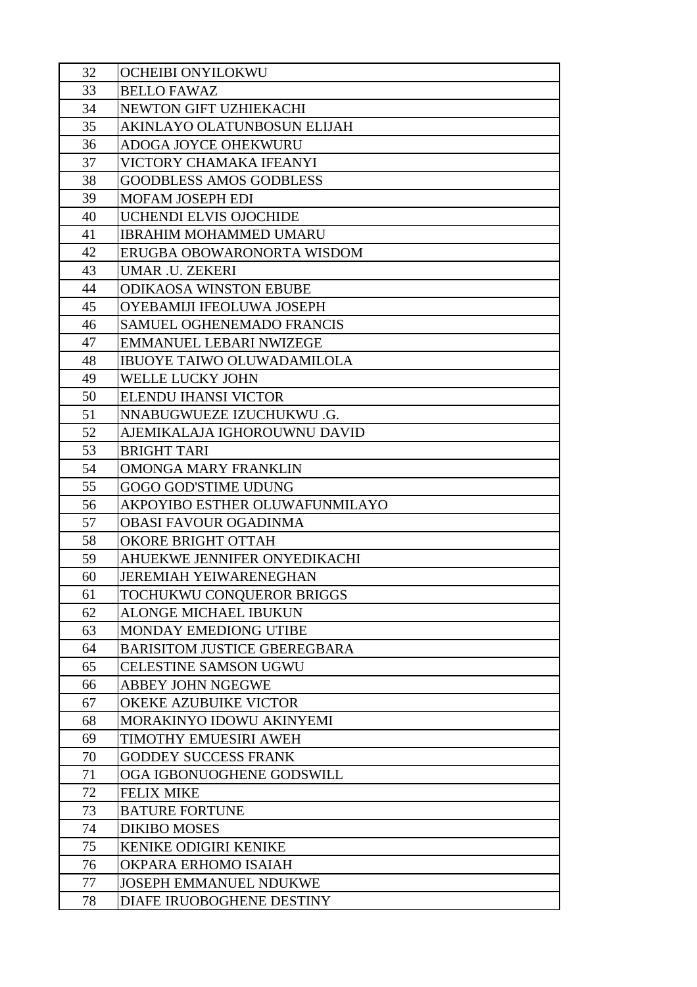| 32       | <b>OCHEIBI ONYILOKWU</b>                                  |
|----------|-----------------------------------------------------------|
| 33       | <b>BELLO FAWAZ</b>                                        |
| 34       | NEWTON GIFT UZHIEKACHI                                    |
| 35       | AKINLAYO OLATUNBOSUN ELIJAH                               |
| 36       | ADOGA JOYCE OHEKWURU                                      |
| 37       | VICTORY CHAMAKA IFEANYI                                   |
| 38       | <b>GOODBLESS AMOS GODBLESS</b>                            |
| 39       | <b>MOFAM JOSEPH EDI</b>                                   |
| 40       | <b>UCHENDI ELVIS OJOCHIDE</b>                             |
| 41       | <b>IBRAHIM MOHAMMED UMARU</b>                             |
| 42       | ERUGBA OBOWARONORTA WISDOM                                |
| 43       | <b>UMAR .U. ZEKERI</b>                                    |
| 44       | <b>ODIKAOSA WINSTON EBUBE</b>                             |
| 45       | OYEBAMIJI IFEOLUWA JOSEPH                                 |
| 46       | <b>SAMUEL OGHENEMADO FRANCIS</b>                          |
| 47       | <b>EMMANUEL LEBARI NWIZEGE</b>                            |
| 48       | <b>IBUOYE TAIWO OLUWADAMILOLA</b>                         |
| 49       | WELLE LUCKY JOHN                                          |
| 50       | ELENDU IHANSI VICTOR                                      |
| 51       | NNABUGWUEZE IZUCHUKWU .G.                                 |
| 52       | AJEMIKALAJA IGHOROUWNU DAVID                              |
| 53       | <b>BRIGHT TARI</b>                                        |
| 54       | <b>OMONGA MARY FRANKLIN</b>                               |
| 55       | <b>GOGO GOD'STIME UDUNG</b>                               |
| 56       | AKPOYIBO ESTHER OLUWAFUNMILAYO                            |
| 57       | <b>OBASI FAVOUR OGADINMA</b>                              |
| 58       | <b>OKORE BRIGHT OTTAH</b>                                 |
| 59       | AHUEKWE JENNIFER ONYEDIKACHI                              |
| 60       | <b>JEREMIAH YEIWARENEGHAN</b>                             |
| 61       | TOCHUKWU CONQUEROR BRIGGS<br><b>ALONGE MICHAEL IBUKUN</b> |
| 62<br>63 | MONDAY EMEDIONG UTIBE                                     |
| 64       | <b>BARISITOM JUSTICE GBEREGBARA</b>                       |
| 65       | <b>CELESTINE SAMSON UGWU</b>                              |
| 66       | <b>ABBEY JOHN NGEGWE</b>                                  |
| 67       | OKEKE AZUBUIKE VICTOR                                     |
| 68       | MORAKINYO IDOWU AKINYEMI                                  |
| 69       | TIMOTHY EMUESIRI AWEH                                     |
| 70       | <b>GODDEY SUCCESS FRANK</b>                               |
| 71       | OGA IGBONUOGHENE GODSWILL                                 |
| 72       | <b>FELIX MIKE</b>                                         |
| 73       | <b>BATURE FORTUNE</b>                                     |
| 74       | <b>DIKIBO MOSES</b>                                       |
| 75       | <b>KENIKE ODIGIRI KENIKE</b>                              |
| 76       | OKPARA ERHOMO ISAIAH                                      |
| 77       | <b>JOSEPH EMMANUEL NDUKWE</b>                             |
| 78       | DIAFE IRUOBOGHENE DESTINY                                 |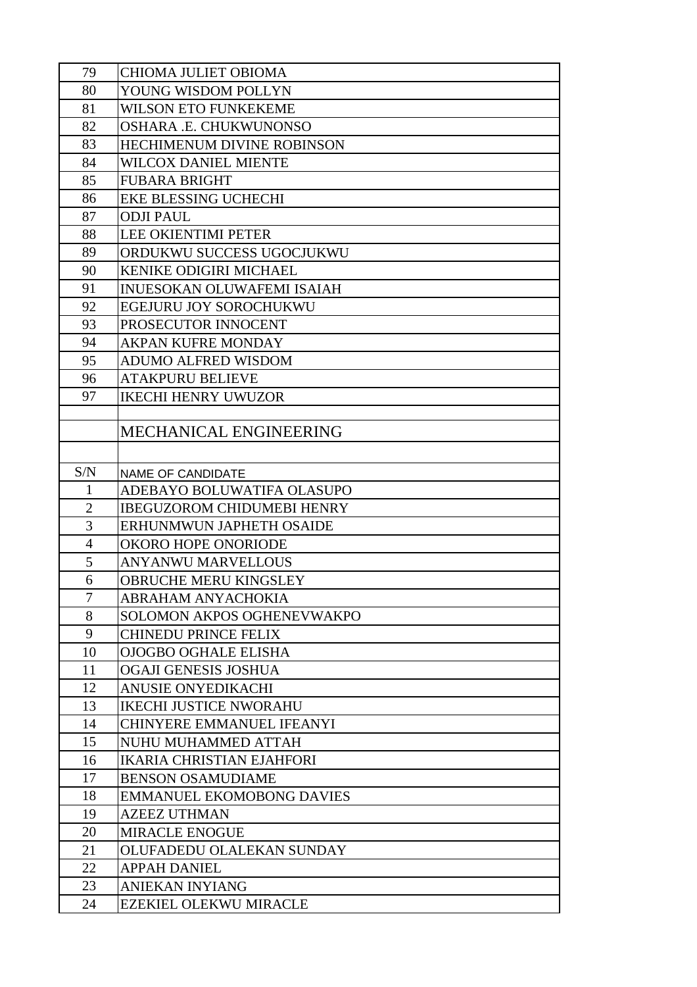| 79             | <b>CHIOMA JULIET OBIOMA</b>                             |
|----------------|---------------------------------------------------------|
| 80             | YOUNG WISDOM POLLYN                                     |
| 81             | <b>WILSON ETO FUNKEKEME</b>                             |
| 82             | OSHARA .E. CHUKWUNONSO                                  |
| 83             | <b>HECHIMENUM DIVINE ROBINSON</b>                       |
| 84             | WILCOX DANIEL MIENTE                                    |
| 85             | <b>FUBARA BRIGHT</b>                                    |
| 86             | <b>EKE BLESSING UCHECHI</b>                             |
| 87             | <b>ODJI PAUL</b>                                        |
| 88             | <b>LEE OKIENTIMI PETER</b>                              |
| 89             | ORDUKWU SUCCESS UGOCJUKWU                               |
| 90             | <b>KENIKE ODIGIRI MICHAEL</b>                           |
| 91             | <b>INUESOKAN OLUWAFEMI ISAIAH</b>                       |
| 92             | <b>EGEJURU JOY SOROCHUKWU</b>                           |
| 93             | PROSECUTOR INNOCENT                                     |
| 94             | AKPAN KUFRE MONDAY                                      |
| 95             | <b>ADUMO ALFRED WISDOM</b>                              |
| 96             | <b>ATAKPURU BELIEVE</b>                                 |
| 97             | <b>IKECHI HENRY UWUZOR</b>                              |
|                |                                                         |
|                | <b>MECHANICAL ENGINEERING</b>                           |
|                |                                                         |
| S/N            | <b>NAME OF CANDIDATE</b>                                |
| $\mathbf{1}$   | ADEBAYO BOLUWATIFA OLASUPO                              |
| $\overline{2}$ | <b>IBEGUZOROM CHIDUMEBI HENRY</b>                       |
| 3              | ERHUNMWUN JAPHETH OSAIDE                                |
| $\overline{4}$ | OKORO HOPE ONORIODE                                     |
| 5              | <b>ANYANWU MARVELLOUS</b>                               |
| 6              | OBRUCHE MERU KINGSLEY                                   |
| 7              | ABRAHAM ANYACHOKIA                                      |
| 8              | SOLOMON AKPOS OGHENEVWAKPO                              |
| 9              | CHINEDU PRINCE FELIX                                    |
| 10             | <b>OJOGBO OGHALE ELISHA</b>                             |
| 11             | OGAJI GENESIS JOSHUA                                    |
| 12             | ANUSIE ONYEDIKACHI                                      |
| 13             | <b>IKECHI JUSTICE NWORAHU</b>                           |
| 14             | <b>CHINYERE EMMANUEL IFEANYI</b>                        |
| 15<br>16       | NUHU MUHAMMED ATTAH<br><b>IKARIA CHRISTIAN EJAHFORI</b> |
| 17             | <b>BENSON OSAMUDIAME</b>                                |
| 18             | <b>EMMANUEL EKOMOBONG DAVIES</b>                        |
| 19             | <b>AZEEZ UTHMAN</b>                                     |
| 20             | <b>MIRACLE ENOGUE</b>                                   |
| 21             | OLUFADEDU OLALEKAN SUNDAY                               |
| 22             | <b>APPAH DANIEL</b>                                     |
| 23             | <b>ANIEKAN INYIANG</b>                                  |
| 24             | <b>EZEKIEL OLEKWU MIRACLE</b>                           |
|                |                                                         |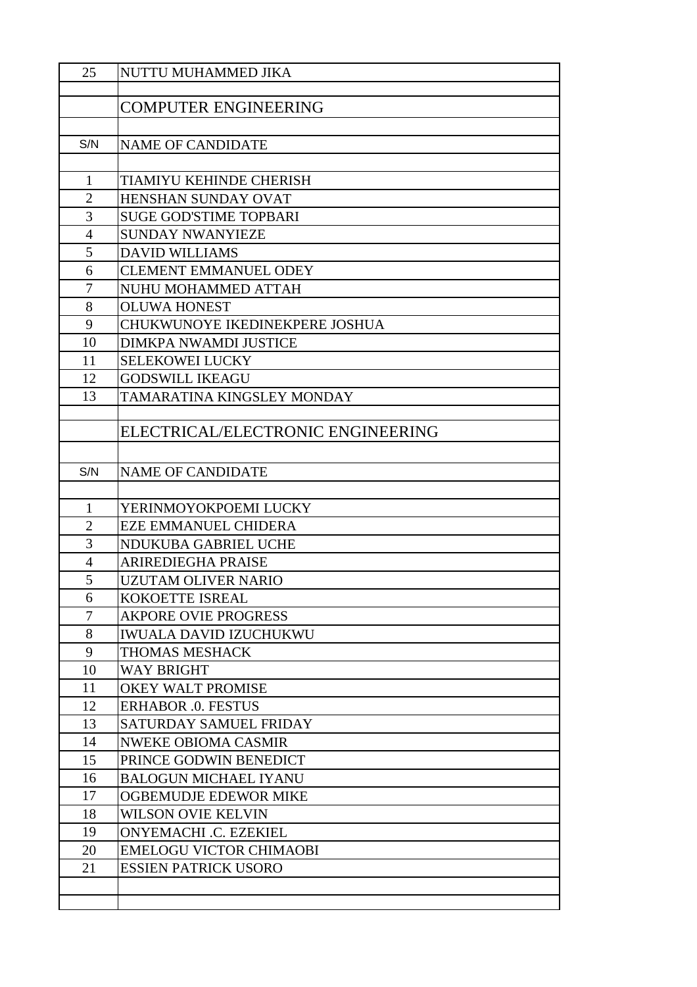| 25             | NUTTU MUHAMMED JIKA               |
|----------------|-----------------------------------|
|                |                                   |
|                | <b>COMPUTER ENGINEERING</b>       |
|                |                                   |
| S/N            | <b>NAME OF CANDIDATE</b>          |
|                |                                   |
| 1              | TIAMIYU KEHINDE CHERISH           |
| $\overline{2}$ | <b>HENSHAN SUNDAY OVAT</b>        |
| 3              | <b>SUGE GOD'STIME TOPBARI</b>     |
| $\overline{4}$ | <b>SUNDAY NWANYIEZE</b>           |
| 5              | <b>DAVID WILLIAMS</b>             |
| 6              | <b>CLEMENT EMMANUEL ODEY</b>      |
| 7              | NUHU MOHAMMED ATTAH               |
| 8              | <b>OLUWA HONEST</b>               |
| 9              | CHUKWUNOYE IKEDINEKPERE JOSHUA    |
| 10             | <b>DIMKPA NWAMDI JUSTICE</b>      |
| 11             | <b>SELEKOWEI LUCKY</b>            |
| 12             | <b>GODSWILL IKEAGU</b>            |
| 13             | TAMARATINA KINGSLEY MONDAY        |
|                |                                   |
|                | ELECTRICAL/ELECTRONIC ENGINEERING |
|                |                                   |
| S/N            | <b>NAME OF CANDIDATE</b>          |
|                |                                   |
| $\mathbf{1}$   | YERINMOYOKPOEMI LUCKY             |
| $\overline{2}$ | <b>EZE EMMANUEL CHIDERA</b>       |
| 3              | NDUKUBA GABRIEL UCHE              |
| 4              | <b>ARIREDIEGHA PRAISE</b>         |
| 5              | UZUTAM OLIVER NARIO               |
| 6              | <b>KOKOETTE ISREAL</b>            |
| $\overline{7}$ | <b>AKPORE OVIE PROGRESS</b>       |
| 8              | <b>IWUALA DAVID IZUCHUKWU</b>     |
| 9              | THOMAS MESHACK                    |
| 10             | <b>WAY BRIGHT</b>                 |
| 11             | <b>OKEY WALT PROMISE</b>          |
| 12             | <b>ERHABOR .0. FESTUS</b>         |
| 13             | SATURDAY SAMUEL FRIDAY            |
| 14             | <b>NWEKE OBIOMA CASMIR</b>        |
| 15             | PRINCE GODWIN BENEDICT            |
| 16             | <b>BALOGUN MICHAEL IYANU</b>      |
| 17             | <b>OGBEMUDJE EDEWOR MIKE</b>      |
| 18             | WILSON OVIE KELVIN                |
| 19             | <b>ONYEMACHI .C. EZEKIEL</b>      |
| 20             | <b>EMELOGU VICTOR CHIMAOBI</b>    |
| 21             | <b>ESSIEN PATRICK USORO</b>       |
|                |                                   |
|                |                                   |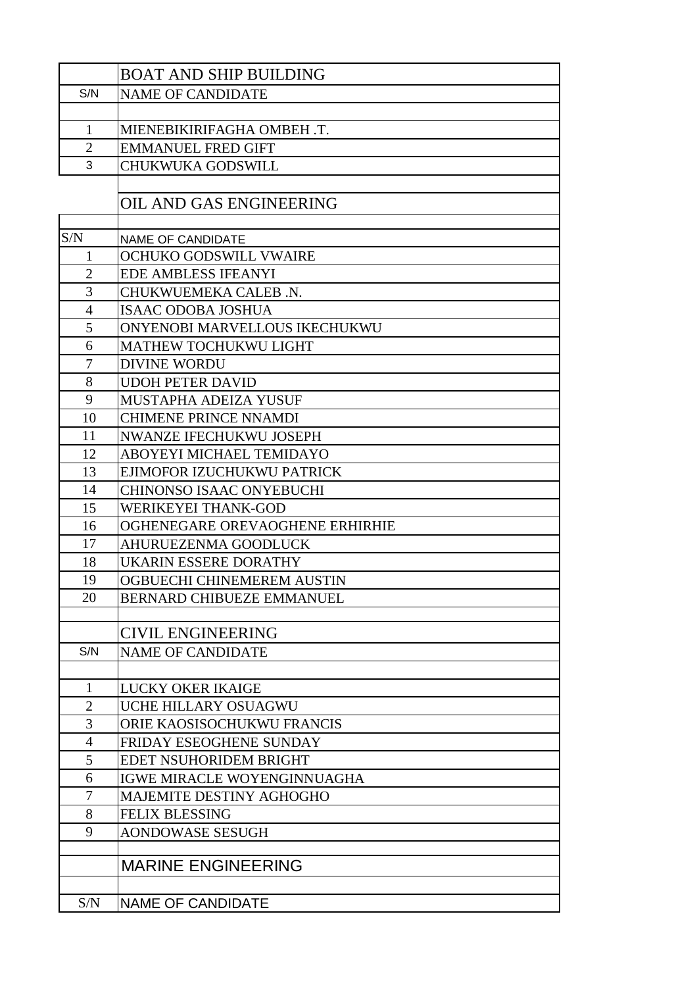|                          | <b>BOAT AND SHIP BUILDING</b>    |
|--------------------------|----------------------------------|
| S/N                      | <b>NAME OF CANDIDATE</b>         |
|                          |                                  |
| $\mathbf{1}$             | MIENEBIKIRIFAGHA OMBEH.T.        |
| $\overline{2}$           | <b>EMMANUEL FRED GIFT</b>        |
| 3                        | <b>CHUKWUKA GODSWILL</b>         |
|                          |                                  |
|                          | OIL AND GAS ENGINEERING          |
|                          |                                  |
| S/N                      | <b>NAME OF CANDIDATE</b>         |
| 1                        | OCHUKO GODSWILL VWAIRE           |
| $\overline{2}$           | EDE AMBLESS IFEANYI              |
| 3                        | CHUKWUEMEKA CALEB .N.            |
| $\overline{4}$           | <b>ISAAC ODOBA JOSHUA</b>        |
| 5                        | ONYENOBI MARVELLOUS IKECHUKWU    |
| 6                        | <b>MATHEW TOCHUKWU LIGHT</b>     |
| $\overline{\mathcal{L}}$ | <b>DIVINE WORDU</b>              |
| 8                        | <b>UDOH PETER DAVID</b>          |
| 9                        | MUSTAPHA ADEIZA YUSUF            |
| 10                       | <b>CHIMENE PRINCE NNAMDI</b>     |
| 11                       | <b>NWANZE IFECHUKWU JOSEPH</b>   |
| 12                       | ABOYEYI MICHAEL TEMIDAYO         |
| 13                       | EJIMOFOR IZUCHUKWU PATRICK       |
| 14                       | CHINONSO ISAAC ONYEBUCHI         |
| 15                       | WERIKEYEI THANK-GOD              |
| 16                       | OGHENEGARE OREVAOGHENE ERHIRHIE  |
| 17                       | <b>AHURUEZENMA GOODLUCK</b>      |
| 18                       | <b>UKARIN ESSERE DORATHY</b>     |
| 19                       | OGBUECHI CHINEMEREM AUSTIN       |
| 20                       | <b>BERNARD CHIBUEZE EMMANUEL</b> |
|                          | <b>CIVIL ENGINEERING</b>         |
| S/N                      | <b>NAME OF CANDIDATE</b>         |
|                          |                                  |
| 1                        | <b>LUCKY OKER IKAIGE</b>         |
| $\overline{2}$           | UCHE HILLARY OSUAGWU             |
| 3                        | ORIE KAOSISOCHUKWU FRANCIS       |
| 4                        | FRIDAY ESEOGHENE SUNDAY          |
| 5                        | EDET NSUHORIDEM BRIGHT           |
| 6                        | IGWE MIRACLE WOYENGINNUAGHA      |
| 7                        | <b>MAJEMITE DESTINY AGHOGHO</b>  |
| 8                        | <b>FELIX BLESSING</b>            |
| 9                        | <b>AONDOWASE SESUGH</b>          |
|                          |                                  |
|                          | <b>MARINE ENGINEERING</b>        |
|                          |                                  |
| S/N                      | <b>NAME OF CANDIDATE</b>         |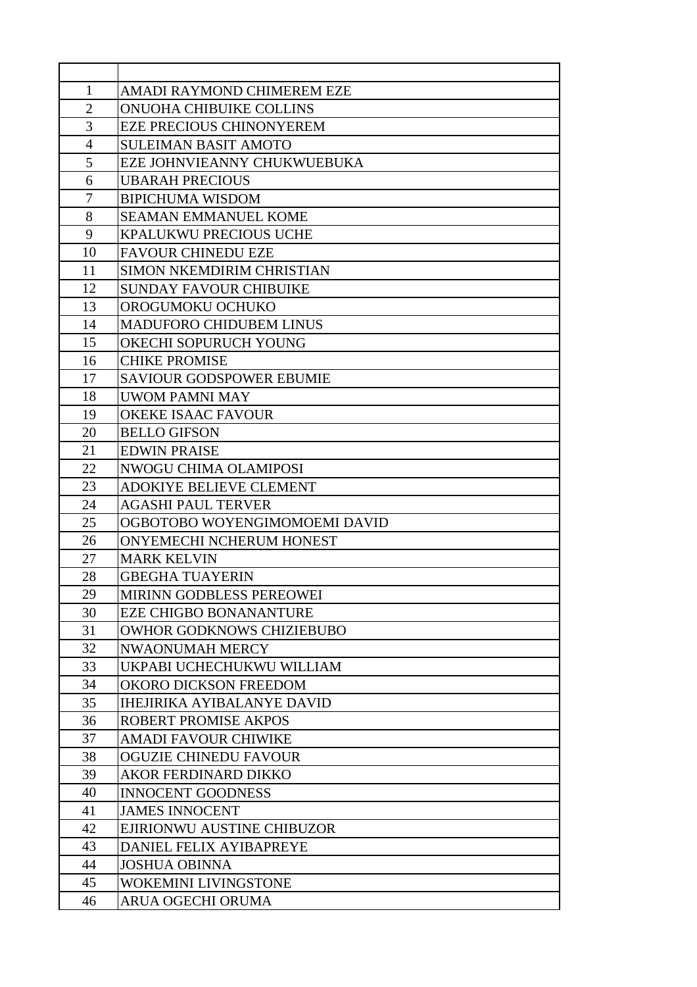| 1              | AMADI RAYMOND CHIMEREM EZE        |
|----------------|-----------------------------------|
| $\mathbf{2}$   | <b>ONUOHA CHIBUIKE COLLINS</b>    |
| 3              | <b>EZE PRECIOUS CHINONYEREM</b>   |
| $\overline{4}$ | <b>SULEIMAN BASIT AMOTO</b>       |
| 5              | EZE JOHNVIEANNY CHUKWUEBUKA       |
| 6              | <b>UBARAH PRECIOUS</b>            |
| 7              | <b>BIPICHUMA WISDOM</b>           |
| 8              | <b>SEAMAN EMMANUEL KOME</b>       |
| 9              | KPALUKWU PRECIOUS UCHE            |
| 10             | <b>FAVOUR CHINEDU EZE</b>         |
| 11             | SIMON NKEMDIRIM CHRISTIAN         |
| 12             | <b>SUNDAY FAVOUR CHIBUIKE</b>     |
| 13             | OROGUMOKU OCHUKO                  |
| 14             | <b>MADUFORO CHIDUBEM LINUS</b>    |
| 15             | OKECHI SOPURUCH YOUNG             |
| 16             | <b>CHIKE PROMISE</b>              |
| 17             | <b>SAVIOUR GODSPOWER EBUMIE</b>   |
| 18             | UWOM PAMNI MAY                    |
| 19             | <b>OKEKE ISAAC FAVOUR</b>         |
| 20             | <b>BELLO GIFSON</b>               |
| 21             | <b>EDWIN PRAISE</b>               |
| 22             | <b>NWOGU CHIMA OLAMIPOSI</b>      |
| 23             | <b>ADOKIYE BELIEVE CLEMENT</b>    |
| 24             | <b>AGASHI PAUL TERVER</b>         |
| 25             | OGBOTOBO WOYENGIMOMOEMI DAVID     |
| 26             | ONYEMECHI NCHERUM HONEST          |
| 27             | <b>MARK KELVIN</b>                |
| 28             | <b>GBEGHA TUAYERIN</b>            |
| 29             | MIRINN GODBLESS PEREOWEI          |
| 30             | <b>EZE CHIGBO BONANANTURE</b>     |
| 31             | <b>OWHOR GODKNOWS CHIZIEBUBO</b>  |
| 32             | NWAONUMAH MERCY                   |
| 33             | UKPABI UCHECHUKWU WILLIAM         |
| 34             | OKORO DICKSON FREEDOM             |
| 35             | <b>IHEJIRIKA AYIBALANYE DAVID</b> |
| 36             | ROBERT PROMISE AKPOS              |
| 37             | <b>AMADI FAVOUR CHIWIKE</b>       |
| 38             | <b>OGUZIE CHINEDU FAVOUR</b>      |
| 39             | AKOR FERDINARD DIKKO              |
| 40             | <b>INNOCENT GOODNESS</b>          |
| 41             | <b>JAMES INNOCENT</b>             |
| 42             | EJIRIONWU AUSTINE CHIBUZOR        |
| 43             | DANIEL FELIX AYIBAPREYE           |
| 44             | <b>JOSHUA OBINNA</b>              |
| 45             | WOKEMINI LIVINGSTONE              |
| 46             | ARUA OGECHI ORUMA                 |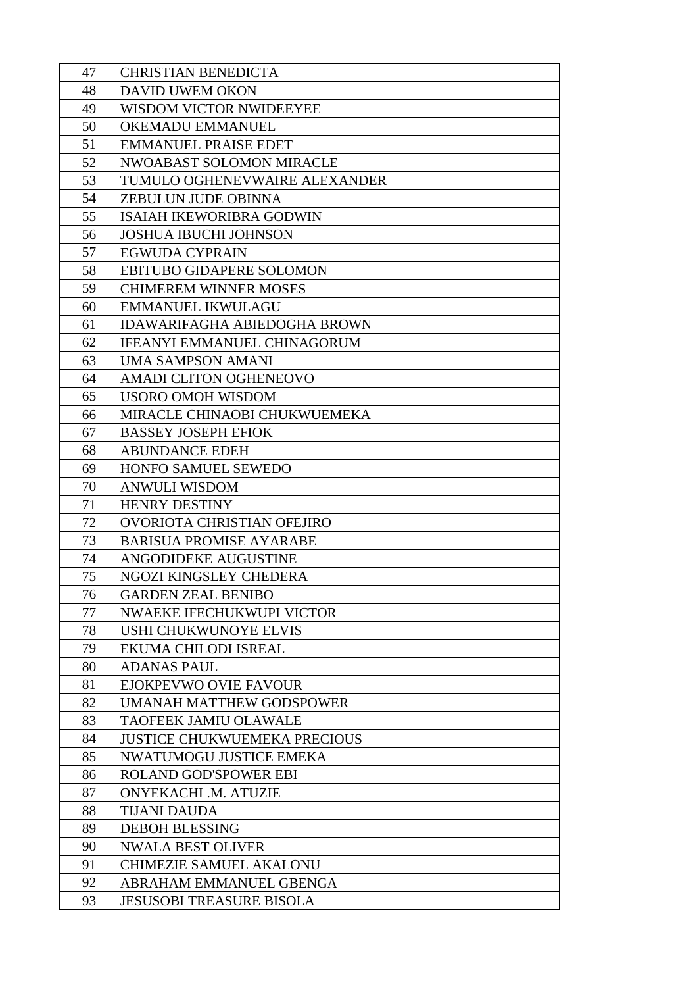| 47       | CHRISTIAN BENEDICTA                                    |
|----------|--------------------------------------------------------|
| 48       | <b>DAVID UWEM OKON</b>                                 |
| 49       | WISDOM VICTOR NWIDEEYEE                                |
| 50       | <b>OKEMADU EMMANUEL</b>                                |
| 51       | <b>EMMANUEL PRAISE EDET</b>                            |
| 52       | <b>NWOABAST SOLOMON MIRACLE</b>                        |
| 53       | TUMULO OGHENEVWAIRE ALEXANDER                          |
| 54       | ZEBULUN JUDE OBINNA                                    |
| 55       | ISAIAH IKEWORIBRA GODWIN                               |
| 56       | <b>JOSHUA IBUCHI JOHNSON</b>                           |
| 57       | <b>EGWUDA CYPRAIN</b>                                  |
| 58       | <b>EBITUBO GIDAPERE SOLOMON</b>                        |
| 59       | <b>CHIMEREM WINNER MOSES</b>                           |
| 60       | <b>EMMANUEL IKWULAGU</b>                               |
| 61       | <b>IDAWARIFAGHA ABIEDOGHA BROWN</b>                    |
| 62       | IFEANYI EMMANUEL CHINAGORUM                            |
| 63       | <b>UMA SAMPSON AMANI</b>                               |
| 64       | AMADI CLITON OGHENEOVO                                 |
| 65       | USORO OMOH WISDOM                                      |
| 66       | MIRACLE CHINAOBI CHUKWUEMEKA                           |
| 67       | <b>BASSEY JOSEPH EFIOK</b>                             |
| 68       | <b>ABUNDANCE EDEH</b>                                  |
| 69       | HONFO SAMUEL SEWEDO                                    |
| 70       | <b>ANWULI WISDOM</b>                                   |
| 71       | <b>HENRY DESTINY</b>                                   |
| 72       | OVORIOTA CHRISTIAN OFEJIRO                             |
| 73       | <b>BARISUA PROMISE AYARABE</b>                         |
| 74       | ANGODIDEKE AUGUSTINE                                   |
| 75       | NGOZI KINGSLEY CHEDERA                                 |
| 76       | <b>GARDEN ZEAL BENIBO</b><br>NWAEKE IFECHUKWUPI VICTOR |
| 77       | USHI CHUKWUNOYE ELVIS                                  |
| 78<br>79 | EKUMA CHILODI ISREAL                                   |
| 80       | <b>ADANAS PAUL</b>                                     |
| 81       | EJOKPEVWO OVIE FAVOUR                                  |
| 82       | <b>UMANAH MATTHEW GODSPOWER</b>                        |
| 83       | <b>TAOFEEK JAMIU OLAWALE</b>                           |
| 84       | <b>JUSTICE CHUKWUEMEKA PRECIOUS</b>                    |
| 85       | <b>NWATUMOGU JUSTICE EMEKA</b>                         |
| 86       | <b>ROLAND GOD'SPOWER EBI</b>                           |
| 87       | ONYEKACHI .M. ATUZIE                                   |
| 88       | TIJANI DAUDA                                           |
| 89       | <b>DEBOH BLESSING</b>                                  |
| 90       | <b>NWALA BEST OLIVER</b>                               |
| 91       | <b>CHIMEZIE SAMUEL AKALONU</b>                         |
| 92       | ABRAHAM EMMANUEL GBENGA                                |
| 93       | <b>JESUSOBI TREASURE BISOLA</b>                        |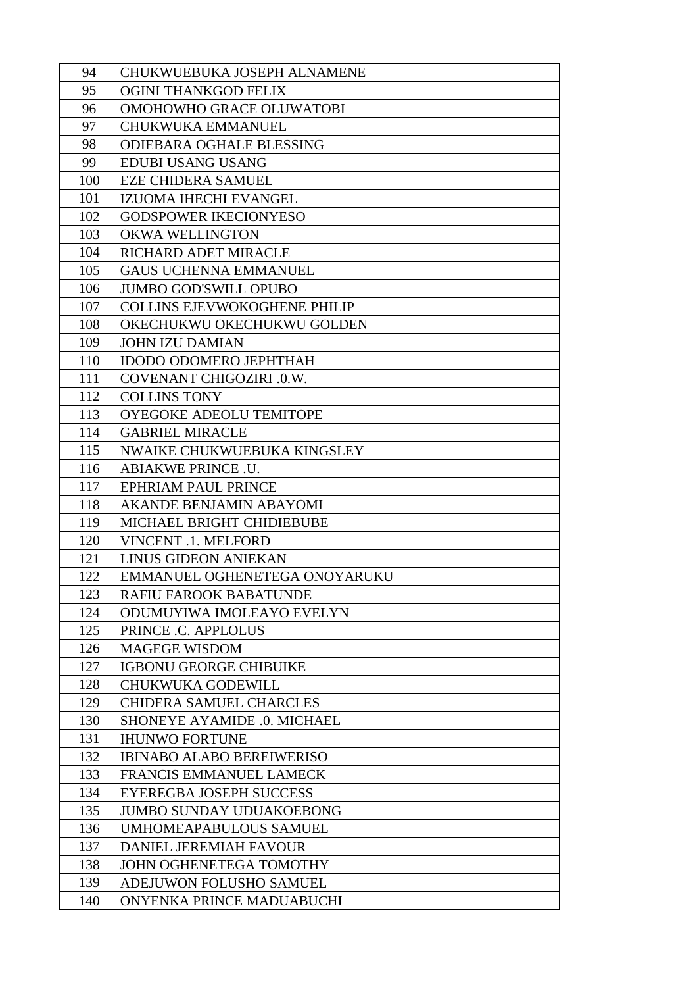| 94         | CHUKWUEBUKA JOSEPH ALNAMENE                                |
|------------|------------------------------------------------------------|
| 95         | <b>OGINI THANKGOD FELIX</b>                                |
| 96         | OMOHOWHO GRACE OLUWATOBI                                   |
| 97         | <b>CHUKWUKA EMMANUEL</b>                                   |
| 98         | <b>ODIEBARA OGHALE BLESSING</b>                            |
| 99         | <b>EDUBI USANG USANG</b>                                   |
| 100        | <b>EZE CHIDERA SAMUEL</b>                                  |
| 101        | IZUOMA IHECHI EVANGEL                                      |
| 102        | <b>GODSPOWER IKECIONYESO</b>                               |
| 103        | <b>OKWA WELLINGTON</b>                                     |
| 104        | RICHARD ADET MIRACLE                                       |
| 105        | <b>GAUS UCHENNA EMMANUEL</b>                               |
| 106        | <b>JUMBO GOD'SWILL OPUBO</b>                               |
| 107        | <b>COLLINS EJEVWOKOGHENE PHILIP</b>                        |
| 108        | OKECHUKWU OKECHUKWU GOLDEN                                 |
| 109        | <b>JOHN IZU DAMIAN</b>                                     |
| 110        | <b>IDODO ODOMERO JEPHTHAH</b>                              |
| 111        | <b>COVENANT CHIGOZIRI .0.W.</b>                            |
| 112        | <b>COLLINS TONY</b>                                        |
| 113        | OYEGOKE ADEOLU TEMITOPE                                    |
| 114        | <b>GABRIEL MIRACLE</b>                                     |
| 115        | NWAIKE CHUKWUEBUKA KINGSLEY                                |
| 116        | ABIAKWE PRINCE .U.                                         |
| 117        | <b>EPHRIAM PAUL PRINCE</b>                                 |
| 118        | <b>AKANDE BENJAMIN ABAYOMI</b>                             |
| 119        | MICHAEL BRIGHT CHIDIEBUBE                                  |
| 120        | <b>VINCENT .1. MELFORD</b>                                 |
| 121        | <b>LINUS GIDEON ANIEKAN</b>                                |
| 122        | EMMANUEL OGHENETEGA ONOYARUKU                              |
| 123        | <b>RAFIU FAROOK BABATUNDE</b>                              |
| 124        | ODUMUYIWA IMOLEAYO EVELYN                                  |
| 125        | PRINCE .C. APPLOLUS                                        |
| 126        | <b>MAGEGE WISDOM</b>                                       |
| 127        | <b>IGBONU GEORGE CHIBUIKE</b>                              |
| 128<br>129 | <b>CHUKWUKA GODEWILL</b><br><b>CHIDERA SAMUEL CHARCLES</b> |
| 130        | SHONEYE AYAMIDE .0. MICHAEL                                |
| 131        | <b>IHUNWO FORTUNE</b>                                      |
| 132        | <b>IBINABO ALABO BEREIWERISO</b>                           |
| 133        | <b>FRANCIS EMMANUEL LAMECK</b>                             |
| 134        | <b>EYEREGBA JOSEPH SUCCESS</b>                             |
| 135        | <b>JUMBO SUNDAY UDUAKOEBONG</b>                            |
| 136        | <b>UMHOMEAPABULOUS SAMUEL</b>                              |
| 137        | <b>DANIEL JEREMIAH FAVOUR</b>                              |
| 138        | JOHN OGHENETEGA TOMOTHY                                    |
| 139        | ADEJUWON FOLUSHO SAMUEL                                    |
| 140        | ONYENKA PRINCE MADUABUCHI                                  |
|            |                                                            |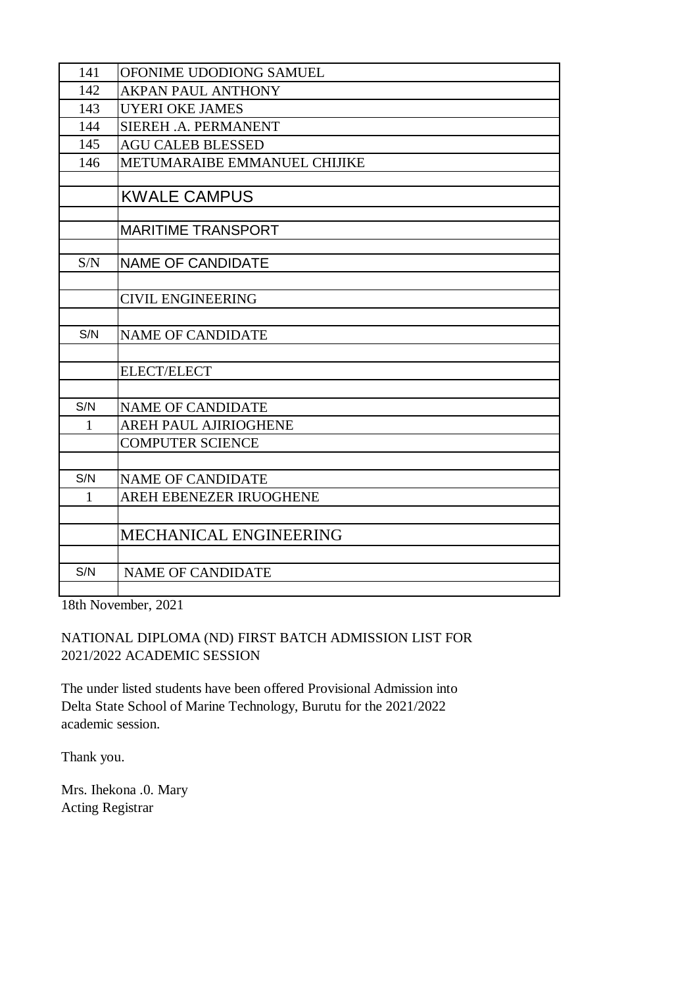| 141          | OFONIME UDODIONG SAMUEL       |
|--------------|-------------------------------|
| 142          | <b>AKPAN PAUL ANTHONY</b>     |
| 143          | <b>UYERI OKE JAMES</b>        |
| 144          | SIEREH .A. PERMANENT          |
| 145          | <b>AGU CALEB BLESSED</b>      |
| 146          | METUMARAIBE EMMANUEL CHIJIKE  |
|              |                               |
|              | <b>KWALE CAMPUS</b>           |
|              |                               |
|              | <b>MARITIME TRANSPORT</b>     |
|              |                               |
| S/N          | <b>NAME OF CANDIDATE</b>      |
|              |                               |
|              | <b>CIVIL ENGINEERING</b>      |
|              |                               |
| S/N          | <b>NAME OF CANDIDATE</b>      |
|              |                               |
|              | <b>ELECT/ELECT</b>            |
|              |                               |
| S/N          | <b>NAME OF CANDIDATE</b>      |
| $\mathbf{1}$ | <b>AREH PAUL AJIRIOGHENE</b>  |
|              | <b>COMPUTER SCIENCE</b>       |
|              |                               |
| S/N          | <b>NAME OF CANDIDATE</b>      |
| $\mathbf{1}$ | AREH EBENEZER IRUOGHENE       |
|              |                               |
|              | <b>MECHANICAL ENGINEERING</b> |
|              |                               |
| S/N          | <b>NAME OF CANDIDATE</b>      |
|              |                               |

18th November, 2021

## NATIONAL DIPLOMA (ND) FIRST BATCH ADMISSION LIST FOR 2021/2022 ACADEMIC SESSION

The under listed students have been offered Provisional Admission into Delta State School of Marine Technology, Burutu for the 2021/2022 academic session.

Thank you.

Mrs. Ihekona .0. Mary Acting Registrar